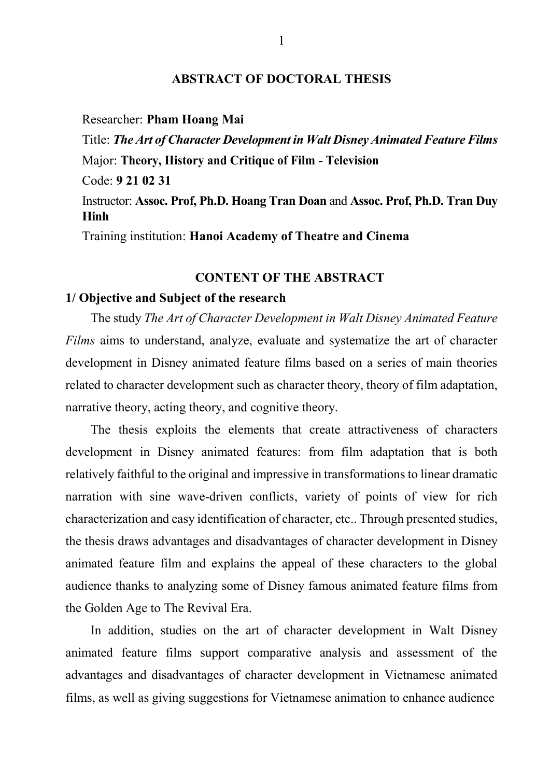### **ABSTRACT OF DOCTORAL THESIS**

Researcher: **Pham Hoang Mai**

Title: *The Art of Character Development in Walt Disney Animated Feature Films* Major: **Theory, History and Critique of Film - Television** Code: **9 21 02 31** Instructor: **Assoc. Prof, Ph.D. Hoang Tran Doan** and **Assoc. Prof, Ph.D. Tran Duy Hinh** Training institution: **Hanoi Academy of Theatre and Cinema**

# **CONTENT OF THE ABSTRACT**

## **1/ Objective and Subject of the research**

The study *The Art of Character Development in Walt Disney Animated Feature Films* aims to understand, analyze, evaluate and systematize the art of character development in Disney animated feature films based on a series of main theories related to character development such as character theory, theory of film adaptation, narrative theory, acting theory, and cognitive theory.

The thesis exploits the elements that create attractiveness of characters development in Disney animated features: from film adaptation that is both relatively faithful to the original and impressive in transformations to linear dramatic narration with sine wave-driven conflicts, variety of points of view for rich characterization and easy identification of character, etc.. Through presented studies, the thesis draws advantages and disadvantages of character development in Disney animated feature film and explains the appeal of these characters to the global audience thanks to analyzing some of Disney famous animated feature films from the Golden Age to The Revival Era.

In addition, studies on the art of character development in Walt Disney animated feature films support comparative analysis and assessment of the advantages and disadvantages of character development in Vietnamese animated films, as well as giving suggestions for Vietnamese animation to enhance audience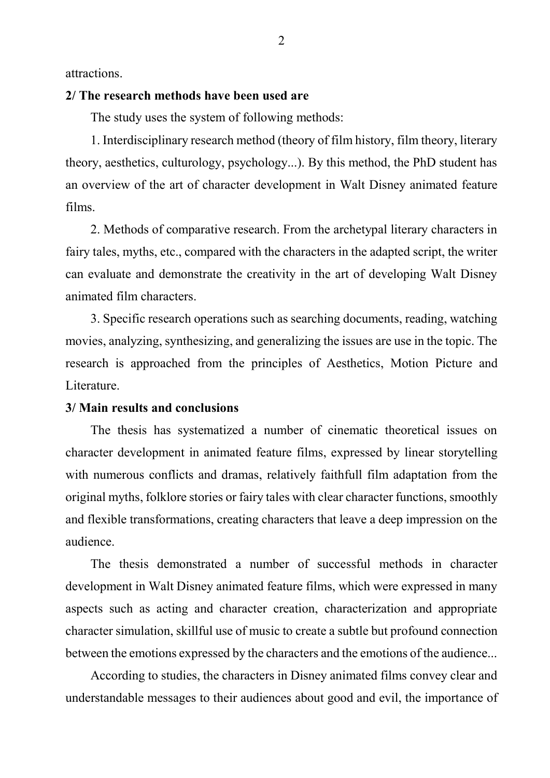attractions.

## **2/ The research methods have been used are**

The study uses the system of following methods:

1. Interdisciplinary research method (theory of film history, film theory, literary theory, aesthetics, culturology, psychology...). By this method, the PhD student has an overview of the art of character development in Walt Disney animated feature films.

2. Methods of comparative research. From the archetypal literary characters in fairy tales, myths, etc., compared with the characters in the adapted script, the writer can evaluate and demonstrate the creativity in the art of developing Walt Disney animated film characters.

3. Specific research operations such as searching documents, reading, watching movies, analyzing, synthesizing, and generalizing the issues are use in the topic. The research is approached from the principles of Aesthetics, Motion Picture and Literature.

### **3/ Main results and conclusions**

The thesis has systematized a number of cinematic theoretical issues on character development in animated feature films, expressed by linear storytelling with numerous conflicts and dramas, relatively faithfull film adaptation from the original myths, folklore stories or fairy tales with clear character functions, smoothly and flexible transformations, creating characters that leave a deep impression on the audience.

The thesis demonstrated a number of successful methods in character development in Walt Disney animated feature films, which were expressed in many aspects such as acting and character creation, characterization and appropriate character simulation, skillful use of music to create a subtle but profound connection between the emotions expressed by the characters and the emotions of the audience...

According to studies, the characters in Disney animated films convey clear and understandable messages to their audiences about good and evil, the importance of